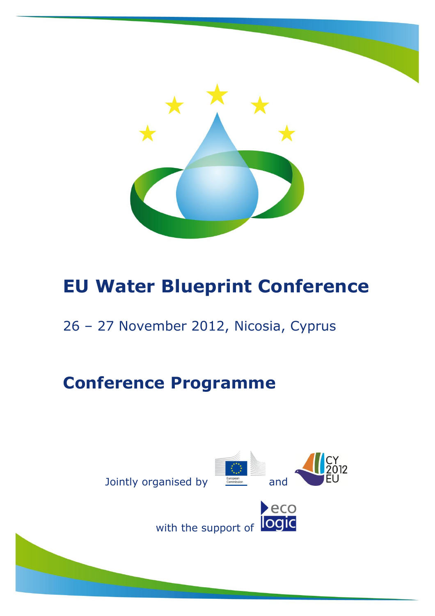

#### 26 – 27 November 2012, Nicosia, Cyprus

## **Conference Programme**

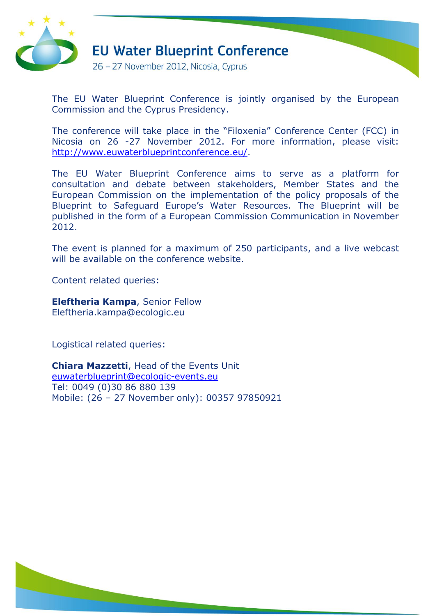

26 - 27 November 2012, Nicosia, Cyprus

The EU Water Blueprint Conference is jointly organised by the European Commission and the Cyprus Presidency.

The conference will take place in the "Filoxenia" Conference Center (FCC) in Nicosia on 26 -27 November 2012. For more information, please visit: [http://www.euwaterblueprintconference.eu/.](http://www.euwaterblueprintconference.eu/)

The EU Water Blueprint Conference aims to serve as a platform for consultation and debate between stakeholders, Member States and the European Commission on the implementation of the policy proposals of the Blueprint to Safeguard Europe's Water Resources. The Blueprint will be published in the form of a European Commission Communication in November 2012.

The event is planned for a maximum of 250 participants, and a live webcast will be available on the conference website.

Content related queries:

**Eleftheria Kampa**, Senior Fellow [Eleftheria.kampa@ecologic.eu](mailto:Eleftheria.kampa@ecologic.eu)

Logistical related queries:

**Chiara Mazzetti**, Head of the Events Unit [euwaterblueprint@ecologic-events.eu](mailto:euwaterblueprint@ecologic-events.eu) Tel: 0049 (0)30 86 880 139 Mobile: (26 – 27 November only): 00357 97850921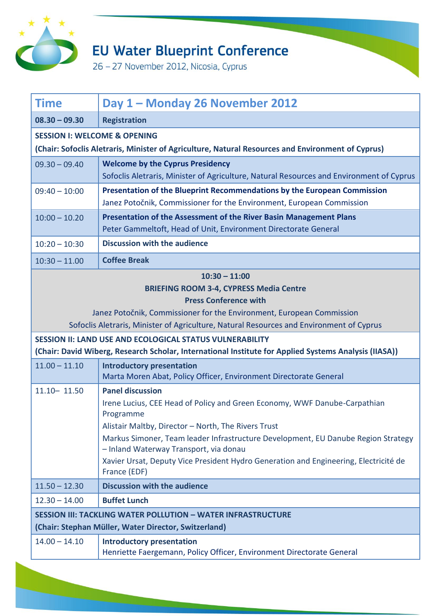

26 - 27 November 2012, Nicosia, Cyprus

| <b>Time</b>                                                                                                                                                                                                                                                            | Day 1 - Monday 26 November 2012                                                                                                                                                                                                                                                                                                                                                                                 |  |
|------------------------------------------------------------------------------------------------------------------------------------------------------------------------------------------------------------------------------------------------------------------------|-----------------------------------------------------------------------------------------------------------------------------------------------------------------------------------------------------------------------------------------------------------------------------------------------------------------------------------------------------------------------------------------------------------------|--|
| $08.30 - 09.30$                                                                                                                                                                                                                                                        | <b>Registration</b>                                                                                                                                                                                                                                                                                                                                                                                             |  |
| <b>SESSION I: WELCOME &amp; OPENING</b>                                                                                                                                                                                                                                |                                                                                                                                                                                                                                                                                                                                                                                                                 |  |
|                                                                                                                                                                                                                                                                        | (Chair: Sofoclis Aletraris, Minister of Agriculture, Natural Resources and Environment of Cyprus)                                                                                                                                                                                                                                                                                                               |  |
| $09.30 - 09.40$                                                                                                                                                                                                                                                        | <b>Welcome by the Cyprus Presidency</b><br>Sofoclis Aletraris, Minister of Agriculture, Natural Resources and Environment of Cyprus                                                                                                                                                                                                                                                                             |  |
| $09:40 - 10:00$                                                                                                                                                                                                                                                        | Presentation of the Blueprint Recommendations by the European Commission<br>Janez Potočnik, Commissioner for the Environment, European Commission                                                                                                                                                                                                                                                               |  |
| $10:00 - 10.20$                                                                                                                                                                                                                                                        | Presentation of the Assessment of the River Basin Management Plans<br>Peter Gammeltoft, Head of Unit, Environment Directorate General                                                                                                                                                                                                                                                                           |  |
| $10:20 - 10:30$                                                                                                                                                                                                                                                        | <b>Discussion with the audience</b>                                                                                                                                                                                                                                                                                                                                                                             |  |
| $10:30 - 11.00$                                                                                                                                                                                                                                                        | <b>Coffee Break</b>                                                                                                                                                                                                                                                                                                                                                                                             |  |
| $10:30 - 11:00$<br><b>BRIEFING ROOM 3-4, CYPRESS Media Centre</b><br><b>Press Conference with</b><br>Janez Potočnik, Commissioner for the Environment, European Commission<br>Sofoclis Aletraris, Minister of Agriculture, Natural Resources and Environment of Cyprus |                                                                                                                                                                                                                                                                                                                                                                                                                 |  |
| SESSION II: LAND USE AND ECOLOGICAL STATUS VULNERABILITY<br>(Chair: David Wiberg, Research Scholar, International Institute for Applied Systems Analysis (IIASA))                                                                                                      |                                                                                                                                                                                                                                                                                                                                                                                                                 |  |
| $11.00 - 11.10$                                                                                                                                                                                                                                                        | <b>Introductory presentation</b><br>Marta Moren Abat, Policy Officer, Environment Directorate General                                                                                                                                                                                                                                                                                                           |  |
| $11.10 - 11.50$                                                                                                                                                                                                                                                        | <b>Panel discussion</b><br>Irene Lucius, CEE Head of Policy and Green Economy, WWF Danube-Carpathian<br>Programme<br>Alistair Maltby, Director - North, The Rivers Trust<br>Markus Simoner, Team leader Infrastructure Development, EU Danube Region Strategy<br>- Inland Waterway Transport, via donau<br>Xavier Ursat, Deputy Vice President Hydro Generation and Engineering, Electricité de<br>France (EDF) |  |
| $11.50 - 12.30$                                                                                                                                                                                                                                                        | <b>Discussion with the audience</b>                                                                                                                                                                                                                                                                                                                                                                             |  |
| $12.30 - 14.00$                                                                                                                                                                                                                                                        | <b>Buffet Lunch</b>                                                                                                                                                                                                                                                                                                                                                                                             |  |
| <b>SESSION III: TACKLING WATER POLLUTION - WATER INFRASTRUCTURE</b>                                                                                                                                                                                                    |                                                                                                                                                                                                                                                                                                                                                                                                                 |  |
| (Chair: Stephan Müller, Water Director, Switzerland)                                                                                                                                                                                                                   |                                                                                                                                                                                                                                                                                                                                                                                                                 |  |
| $14.00 - 14.10$                                                                                                                                                                                                                                                        | <b>Introductory presentation</b>                                                                                                                                                                                                                                                                                                                                                                                |  |

Henriette Faergemann, Policy Officer, Environment Directorate General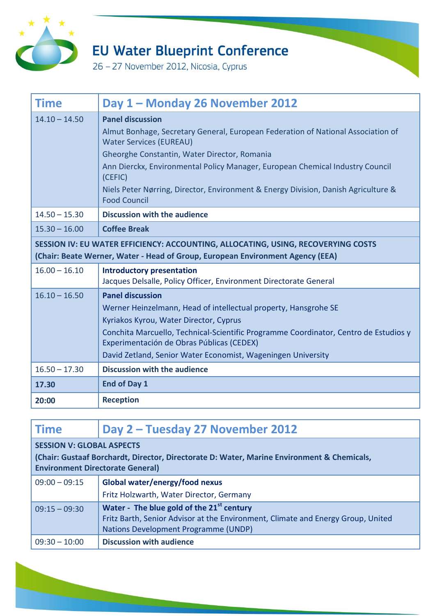

26 - 27 November 2012, Nicosia, Cyprus

| <b>Time</b>                                                                                                                                                         | Day 1 - Monday 26 November 2012                                                                                                                                                                                                                                                                                                                                                                        |  |
|---------------------------------------------------------------------------------------------------------------------------------------------------------------------|--------------------------------------------------------------------------------------------------------------------------------------------------------------------------------------------------------------------------------------------------------------------------------------------------------------------------------------------------------------------------------------------------------|--|
| $14.10 - 14.50$                                                                                                                                                     | <b>Panel discussion</b><br>Almut Bonhage, Secretary General, European Federation of National Association of<br><b>Water Services (EUREAU)</b><br>Gheorghe Constantin, Water Director, Romania<br>Ann Dierckx, Environmental Policy Manager, European Chemical Industry Council<br>(CEFIC)<br>Niels Peter Nørring, Director, Environment & Energy Division, Danish Agriculture &<br><b>Food Council</b> |  |
| $14.50 - 15.30$                                                                                                                                                     | <b>Discussion with the audience</b>                                                                                                                                                                                                                                                                                                                                                                    |  |
| $15.30 - 16.00$                                                                                                                                                     | <b>Coffee Break</b>                                                                                                                                                                                                                                                                                                                                                                                    |  |
| SESSION IV: EU WATER EFFICIENCY: ACCOUNTING, ALLOCATING, USING, RECOVERYING COSTS<br>(Chair: Beate Werner, Water - Head of Group, European Environment Agency (EEA) |                                                                                                                                                                                                                                                                                                                                                                                                        |  |
| $16.00 - 16.10$                                                                                                                                                     | <b>Introductory presentation</b><br>Jacques Delsalle, Policy Officer, Environment Directorate General                                                                                                                                                                                                                                                                                                  |  |
| $16.10 - 16.50$                                                                                                                                                     | <b>Panel discussion</b><br>Werner Heinzelmann, Head of intellectual property, Hansgrohe SE<br>Kyriakos Kyrou, Water Director, Cyprus<br>Conchita Marcuello, Technical-Scientific Programme Coordinator, Centro de Estudios y<br>Experimentación de Obras Públicas (CEDEX)<br>David Zetland, Senior Water Economist, Wageningen University                                                              |  |
| $16.50 - 17.30$                                                                                                                                                     | <b>Discussion with the audience</b>                                                                                                                                                                                                                                                                                                                                                                    |  |
| 17.30                                                                                                                                                               | <b>End of Day 1</b>                                                                                                                                                                                                                                                                                                                                                                                    |  |
| 20:00                                                                                                                                                               | <b>Reception</b>                                                                                                                                                                                                                                                                                                                                                                                       |  |

| <b>Time</b>                                                                                                                                                               | Day 2 – Tuesday 27 November 2012                                                                                                                                                  |  |
|---------------------------------------------------------------------------------------------------------------------------------------------------------------------------|-----------------------------------------------------------------------------------------------------------------------------------------------------------------------------------|--|
| <b>SESSION V: GLOBAL ASPECTS</b><br>(Chair: Gustaaf Borchardt, Director, Directorate D: Water, Marine Environment & Chemicals,<br><b>Environment Directorate General)</b> |                                                                                                                                                                                   |  |
| $09:00 - 09:15$                                                                                                                                                           | Global water/energy/food nexus                                                                                                                                                    |  |
|                                                                                                                                                                           | Fritz Holzwarth, Water Director, Germany                                                                                                                                          |  |
| $09:15 - 09:30$                                                                                                                                                           | Water - The blue gold of the 21 <sup>st</sup> century<br>Fritz Barth, Senior Advisor at the Environment, Climate and Energy Group, United<br>Nations Development Programme (UNDP) |  |
| $09:30 - 10:00$                                                                                                                                                           | <b>Discussion with audience</b>                                                                                                                                                   |  |